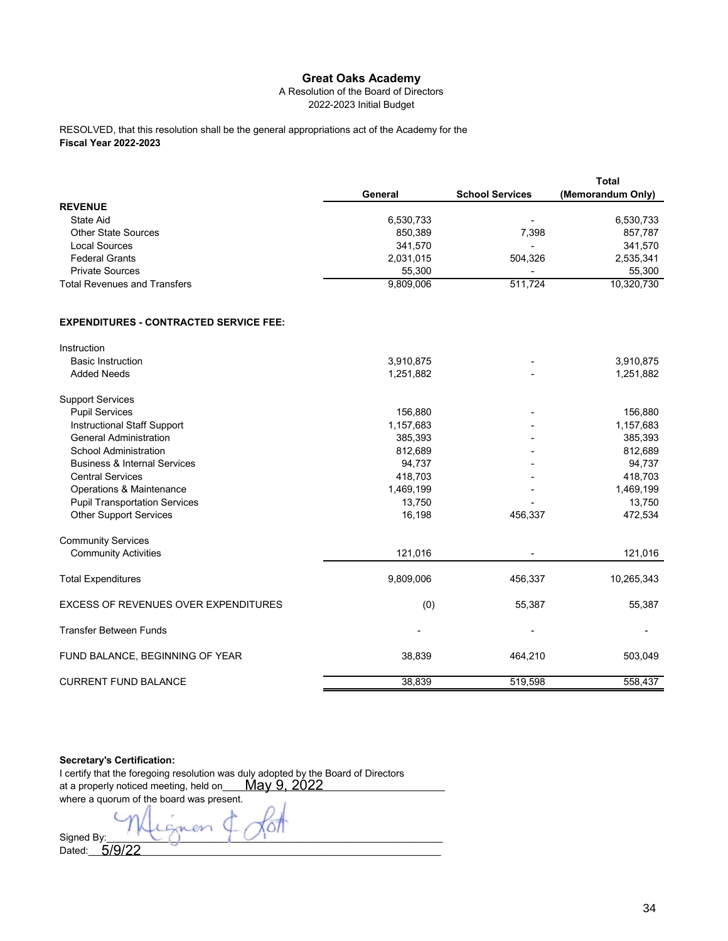## **Great Oaks Academy**

## A Resolution of the Board of Directors 2022-2023 Initial Budget

**Fiscal Year 2022-2023** RESOLVED, that this resolution shall be the general appropriations act of the Academy for the

|                                               |           |                        | <b>Total</b>      |
|-----------------------------------------------|-----------|------------------------|-------------------|
|                                               | General   | <b>School Services</b> | (Memorandum Only) |
| <b>REVENUE</b>                                |           |                        |                   |
| <b>State Aid</b>                              | 6,530,733 |                        | 6,530,733         |
| <b>Other State Sources</b>                    | 850,389   | 7,398                  | 857,787           |
| <b>Local Sources</b>                          | 341,570   |                        | 341,570           |
| <b>Federal Grants</b>                         | 2,031,015 | 504,326                | 2,535,341         |
| <b>Private Sources</b>                        | 55,300    |                        | 55,300            |
| <b>Total Revenues and Transfers</b>           | 9,809,006 | 511,724                | 10,320,730        |
| <b>EXPENDITURES - CONTRACTED SERVICE FEE:</b> |           |                        |                   |
| Instruction                                   |           |                        |                   |
| <b>Basic Instruction</b>                      | 3,910,875 |                        | 3,910,875         |
| <b>Added Needs</b>                            | 1,251,882 |                        | 1,251,882         |
| <b>Support Services</b>                       |           |                        |                   |
| <b>Pupil Services</b>                         | 156,880   |                        | 156,880           |
| <b>Instructional Staff Support</b>            | 1,157,683 |                        | 1,157,683         |
| <b>General Administration</b>                 | 385,393   |                        | 385,393           |
| <b>School Administration</b>                  | 812,689   |                        | 812,689           |
| <b>Business &amp; Internal Services</b>       | 94,737    |                        | 94,737            |
| <b>Central Services</b>                       | 418,703   |                        | 418,703           |
| Operations & Maintenance                      | 1,469,199 |                        | 1,469,199         |
| <b>Pupil Transportation Services</b>          | 13,750    |                        | 13,750            |
| <b>Other Support Services</b>                 | 16,198    | 456,337                | 472,534           |
| <b>Community Services</b>                     |           |                        |                   |
| <b>Community Activities</b>                   | 121,016   |                        | 121,016           |
| <b>Total Expenditures</b>                     | 9,809,006 | 456,337                | 10,265,343        |
| <b>EXCESS OF REVENUES OVER EXPENDITURES</b>   | (0)       | 55,387                 | 55,387            |
| <b>Transfer Between Funds</b>                 |           |                        |                   |
| FUND BALANCE, BEGINNING OF YEAR               | 38,839    | 464,210                | 503,049           |
| <b>CURRENT FUND BALANCE</b>                   | 38,839    | 519,598                | 558,437           |

## **Secretary's Certification:**

| I certify that the foregoing resolution was duly adopted by the Board of Directors |  |  |  |
|------------------------------------------------------------------------------------|--|--|--|
| May 9, 2022<br>at a properly noticed meeting, held on                              |  |  |  |
| where a quorum of the board was present.                                           |  |  |  |
|                                                                                    |  |  |  |
| Signed By:                                                                         |  |  |  |
| Dated:                                                                             |  |  |  |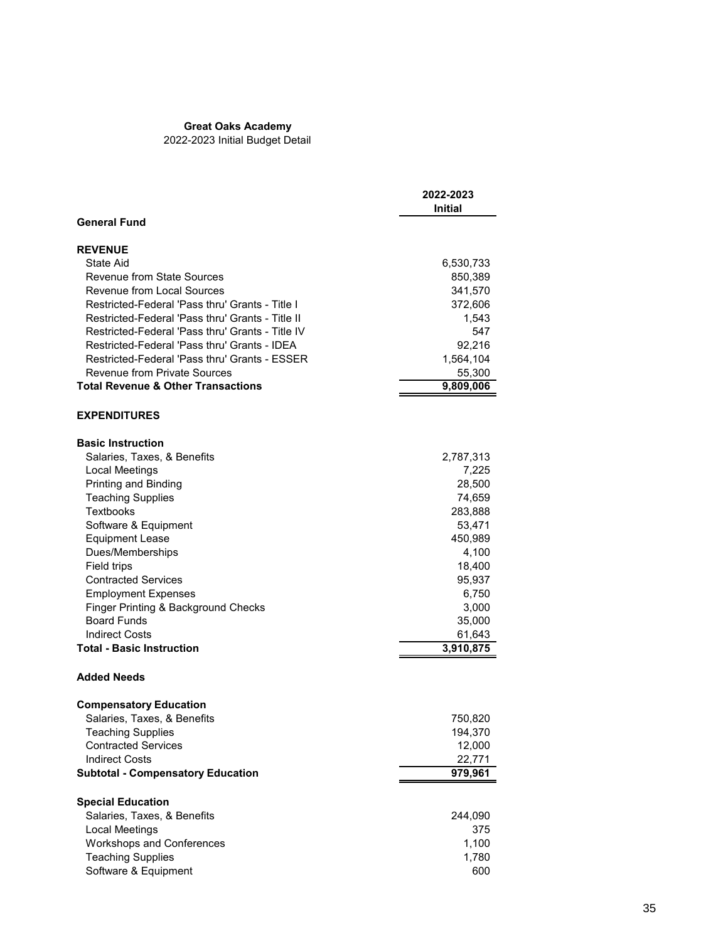## **Great Oaks Academy**

2022-2023 Initial Budget Detail

|                                                  | 2022-2023<br>Initial |
|--------------------------------------------------|----------------------|
| <b>General Fund</b>                              |                      |
| <b>REVENUE</b>                                   |                      |
| State Aid                                        | 6,530,733            |
| <b>Revenue from State Sources</b>                | 850,389              |
| Revenue from Local Sources                       | 341,570              |
| Restricted-Federal 'Pass thru' Grants - Title I  | 372,606              |
| Restricted-Federal 'Pass thru' Grants - Title II | 1,543                |
| Restricted-Federal 'Pass thru' Grants - Title IV | 547                  |
| Restricted-Federal 'Pass thru' Grants - IDEA     | 92,216               |
| Restricted-Federal 'Pass thru' Grants - ESSER    | 1,564,104            |
| <b>Revenue from Private Sources</b>              | 55,300               |
| <b>Total Revenue &amp; Other Transactions</b>    | 9,809,006            |
| <b>EXPENDITURES</b>                              |                      |
| <b>Basic Instruction</b>                         |                      |
| Salaries, Taxes, & Benefits                      | 2,787,313            |
| Local Meetings                                   | 7,225                |
| Printing and Binding                             | 28,500               |
| <b>Teaching Supplies</b>                         | 74,659               |
| <b>Textbooks</b>                                 | 283,888              |
| Software & Equipment                             | 53,471               |
| <b>Equipment Lease</b>                           | 450,989              |
| Dues/Memberships                                 | 4,100                |
| Field trips                                      | 18,400               |
| <b>Contracted Services</b>                       | 95,937               |
| <b>Employment Expenses</b>                       | 6,750                |
| Finger Printing & Background Checks              | 3,000                |
| <b>Board Funds</b>                               | 35,000               |
| <b>Indirect Costs</b>                            | 61,643               |
| <b>Total - Basic Instruction</b>                 | 3,910,875            |
| <b>Added Needs</b>                               |                      |
| <b>Compensatory Education</b>                    |                      |
| Salaries, Taxes, & Benefits                      | 750,820              |
| <b>Teaching Supplies</b>                         | 194,370              |
| <b>Contracted Services</b>                       | 12,000               |
| <b>Indirect Costs</b>                            | 22,771               |
| <b>Subtotal - Compensatory Education</b>         | 979,961              |
| <b>Special Education</b>                         |                      |
| Salaries, Taxes, & Benefits                      | 244,090              |
| <b>Local Meetings</b>                            | 375                  |
| <b>Workshops and Conferences</b>                 | 1,100                |
| <b>Teaching Supplies</b>                         | 1,780                |
| Software & Equipment                             | 600                  |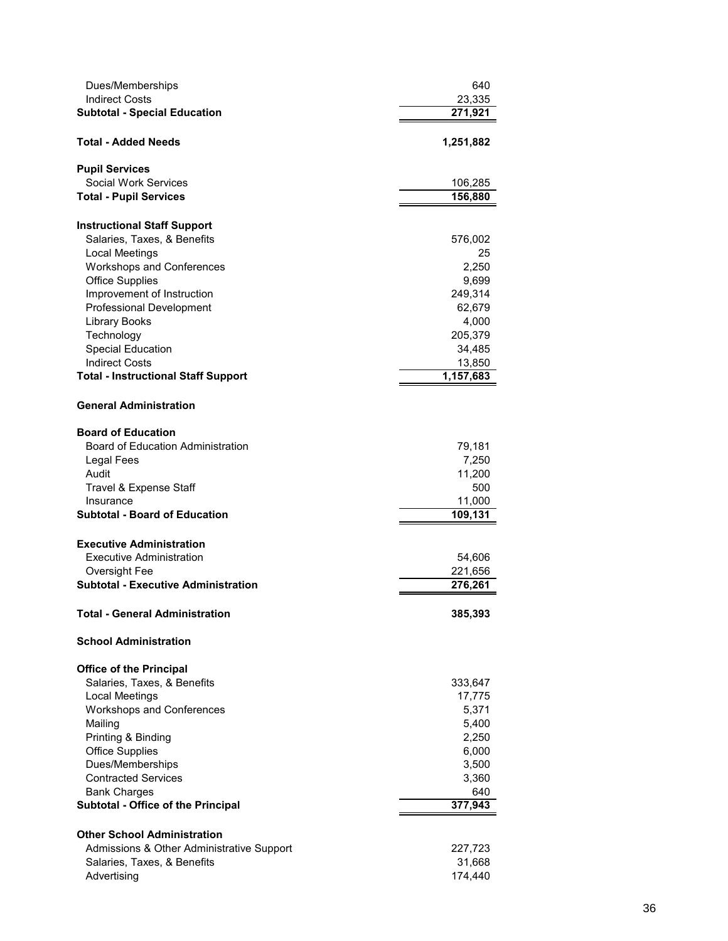| Dues/Memberships<br><b>Indirect Costs</b><br><b>Subtotal - Special Education</b> | 640<br>23,335<br>271,921 |
|----------------------------------------------------------------------------------|--------------------------|
| <b>Total - Added Needs</b>                                                       | 1,251,882                |
| <b>Pupil Services</b>                                                            |                          |
| <b>Social Work Services</b>                                                      | 106,285                  |
| <b>Total - Pupil Services</b>                                                    | 156,880                  |
| <b>Instructional Staff Support</b>                                               |                          |
| Salaries, Taxes, & Benefits                                                      | 576,002                  |
| <b>Local Meetings</b>                                                            | 25                       |
| Workshops and Conferences<br><b>Office Supplies</b>                              | 2,250<br>9,699           |
| Improvement of Instruction                                                       | 249,314                  |
| <b>Professional Development</b>                                                  | 62,679                   |
| <b>Library Books</b>                                                             | 4,000                    |
| Technology                                                                       | 205,379                  |
| <b>Special Education</b><br><b>Indirect Costs</b>                                | 34,485                   |
| <b>Total - Instructional Staff Support</b>                                       | 13,850<br>1,157,683      |
|                                                                                  |                          |
| <b>General Administration</b>                                                    |                          |
| <b>Board of Education</b>                                                        |                          |
| <b>Board of Education Administration</b>                                         | 79,181                   |
| Legal Fees                                                                       | 7,250                    |
| Audit<br>Travel & Expense Staff                                                  | 11,200<br>500            |
| Insurance                                                                        | 11,000                   |
| <b>Subtotal - Board of Education</b>                                             | 109, 131                 |
|                                                                                  |                          |
| <b>Executive Administration</b><br>Executive Administration                      | 54,606                   |
| Oversight Fee                                                                    | 221,656                  |
| <b>Subtotal - Executive Administration</b>                                       | 276,261                  |
| <b>Total - General Administration</b>                                            | 385,393                  |
| <b>School Administration</b>                                                     |                          |
|                                                                                  |                          |
| <b>Office of the Principal</b><br>Salaries, Taxes, & Benefits                    | 333,647                  |
| <b>Local Meetings</b>                                                            | 17,775                   |
| Workshops and Conferences                                                        | 5,371                    |
| Mailing                                                                          | 5,400                    |
| Printing & Binding                                                               | 2,250                    |
| <b>Office Supplies</b>                                                           | 6,000                    |
| Dues/Memberships<br><b>Contracted Services</b>                                   | 3,500<br>3,360           |
| <b>Bank Charges</b>                                                              | 640                      |
| Subtotal - Office of the Principal                                               | 377,943                  |
|                                                                                  |                          |
| <b>Other School Administration</b>                                               |                          |
| Admissions & Other Administrative Support<br>Salaries, Taxes, & Benefits         | 227,723<br>31,668        |
| Advertising                                                                      | 174,440                  |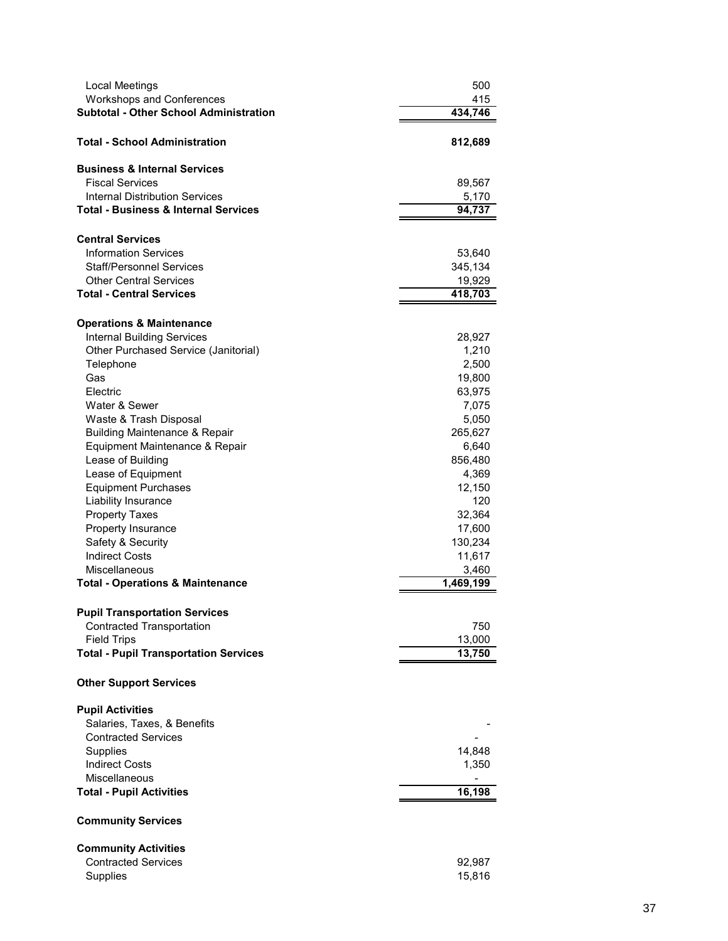| Local Meetings<br><b>Workshops and Conferences</b>                       | 500<br>415         |
|--------------------------------------------------------------------------|--------------------|
| <b>Subtotal - Other School Administration</b>                            | 434,746            |
| <b>Total - School Administration</b>                                     | 812,689            |
| <b>Business &amp; Internal Services</b><br><b>Fiscal Services</b>        |                    |
| <b>Internal Distribution Services</b>                                    | 89,567<br>5,170    |
| <b>Total - Business &amp; Internal Services</b>                          | 94,737             |
|                                                                          |                    |
| <b>Central Services</b>                                                  |                    |
| <b>Information Services</b>                                              | 53,640             |
| <b>Staff/Personnel Services</b>                                          | 345,134            |
| <b>Other Central Services</b>                                            | 19,929             |
| <b>Total - Central Services</b>                                          | 418,703            |
|                                                                          |                    |
| <b>Operations &amp; Maintenance</b><br><b>Internal Building Services</b> | 28,927             |
| Other Purchased Service (Janitorial)                                     | 1,210              |
| Telephone                                                                | 2,500              |
| Gas                                                                      | 19,800             |
| Electric                                                                 | 63,975             |
| Water & Sewer                                                            | 7,075              |
| Waste & Trash Disposal                                                   | 5,050              |
| <b>Building Maintenance &amp; Repair</b>                                 | 265,627            |
| Equipment Maintenance & Repair                                           | 6,640              |
| Lease of Building                                                        | 856,480            |
| Lease of Equipment                                                       | 4,369              |
| <b>Equipment Purchases</b>                                               | 12,150             |
| Liability Insurance                                                      | 120                |
| <b>Property Taxes</b>                                                    | 32,364             |
| Property Insurance                                                       | 17,600             |
| Safety & Security<br><b>Indirect Costs</b>                               | 130,234            |
| Miscellaneous                                                            | 11,617             |
| <b>Total - Operations &amp; Maintenance</b>                              | 3,460<br>1,469,199 |
|                                                                          |                    |
| <b>Pupil Transportation Services</b>                                     |                    |
| <b>Contracted Transportation</b>                                         | 750                |
| <b>Field Trips</b>                                                       | 13,000             |
| <b>Total - Pupil Transportation Services</b>                             | 13,750             |
| <b>Other Support Services</b>                                            |                    |
| <b>Pupil Activities</b>                                                  |                    |
| Salaries, Taxes, & Benefits                                              |                    |
| <b>Contracted Services</b>                                               |                    |
| Supplies                                                                 | 14,848             |
| <b>Indirect Costs</b>                                                    | 1,350              |
| <b>Miscellaneous</b>                                                     |                    |
| <b>Total - Pupil Activities</b>                                          | 16,198             |
| <b>Community Services</b>                                                |                    |
| <b>Community Activities</b>                                              |                    |
| <b>Contracted Services</b>                                               | 92,987             |
| Supplies                                                                 | 15,816             |